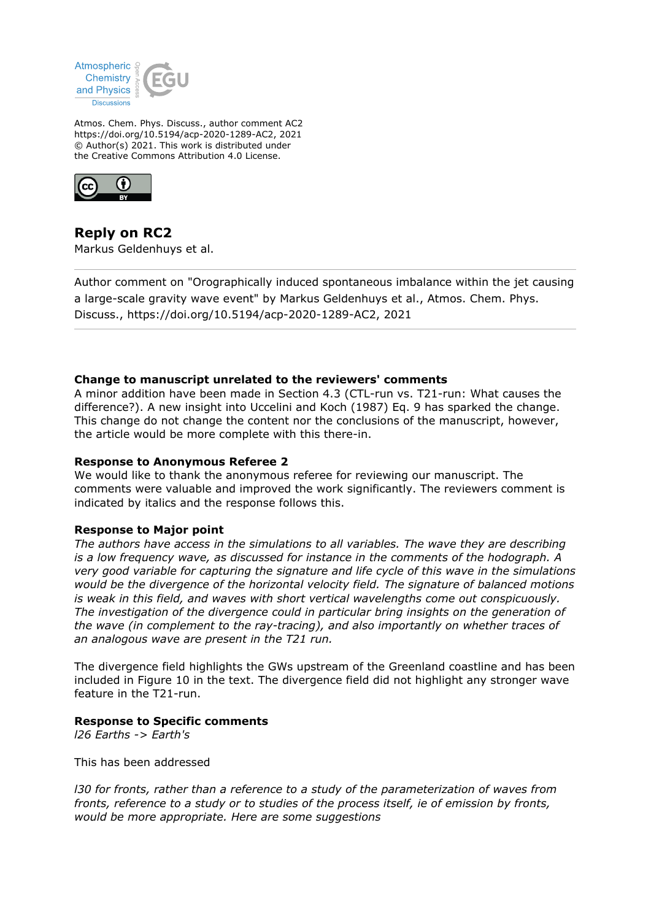

Atmos. Chem. Phys. Discuss., author comment AC2 https://doi.org/10.5194/acp-2020-1289-AC2, 2021 © Author(s) 2021. This work is distributed under the Creative Commons Attribution 4.0 License.



**Reply on RC2** Markus Geldenhuys et al.

Author comment on "Orographically induced spontaneous imbalance within the jet causing a large-scale gravity wave event" by Markus Geldenhuys et al., Atmos. Chem. Phys. Discuss., https://doi.org/10.5194/acp-2020-1289-AC2, 2021

# **Change to manuscript unrelated to the reviewers' comments**

A minor addition have been made in Section 4.3 (CTL-run vs. T21-run: What causes the difference?). A new insight into Uccelini and Koch (1987) Eq. 9 has sparked the change. This change do not change the content nor the conclusions of the manuscript, however, the article would be more complete with this there-in.

#### **Response to Anonymous Referee 2**

We would like to thank the anonymous referee for reviewing our manuscript. The comments were valuable and improved the work significantly. The reviewers comment is indicated by italics and the response follows this.

# **Response to Major point**

*The authors have access in the simulations to all variables. The wave they are describing is a low frequency wave, as discussed for instance in the comments of the hodograph. A very good variable for capturing the signature and life cycle of this wave in the simulations would be the divergence of the horizontal velocity field. The signature of balanced motions is weak in this field, and waves with short vertical wavelengths come out conspicuously. The investigation of the divergence could in particular bring insights on the generation of the wave (in complement to the ray-tracing), and also importantly on whether traces of an analogous wave are present in the T21 run.*

The divergence field highlights the GWs upstream of the Greenland coastline and has been included in Figure 10 in the text. The divergence field did not highlight any stronger wave feature in the T21-run.

#### **Response to Specific comments**

*l26 Earths -> Earth's*

This has been addressed

*l30 for fronts, rather than a reference to a study of the parameterization of waves from fronts, reference to a study or to studies of the process itself, ie of emission by fronts, would be more appropriate. Here are some suggestions*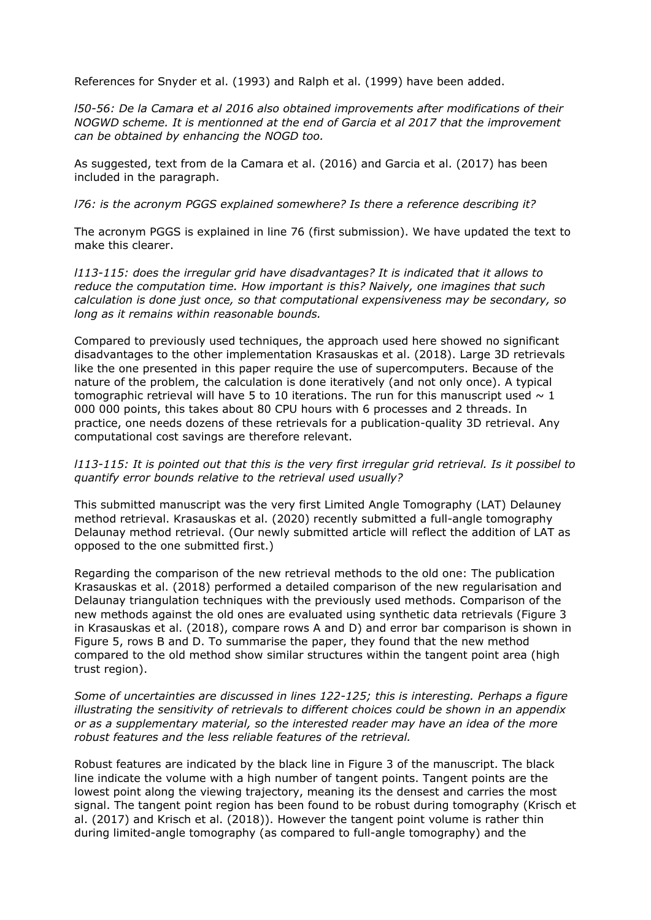References for Snyder et al. (1993) and Ralph et al. (1999) have been added.

*l50-56: De la Camara et al 2016 also obtained improvements after modifications of their NOGWD scheme. It is mentionned at the end of Garcia et al 2017 that the improvement can be obtained by enhancing the NOGD too.*

As suggested, text from de la Camara et al. (2016) and Garcia et al. (2017) has been included in the paragraph.

*l76: is the acronym PGGS explained somewhere? Is there a reference describing it?*

The acronym PGGS is explained in line 76 (first submission). We have updated the text to make this clearer.

*l113-115: does the irregular grid have disadvantages? It is indicated that it allows to reduce the computation time. How important is this? Naively, one imagines that such calculation is done just once, so that computational expensiveness may be secondary, so long as it remains within reasonable bounds.*

Compared to previously used techniques, the approach used here showed no significant disadvantages to the other implementation Krasauskas et al. (2018). Large 3D retrievals like the one presented in this paper require the use of supercomputers. Because of the nature of the problem, the calculation is done iteratively (and not only once). A typical tomographic retrieval will have 5 to 10 iterations. The run for this manuscript used  $\sim 1$ 000 000 points, this takes about 80 CPU hours with 6 processes and 2 threads. In practice, one needs dozens of these retrievals for a publication-quality 3D retrieval. Any computational cost savings are therefore relevant.

# *l113-115: It is pointed out that this is the very first irregular grid retrieval. Is it possibel to quantify error bounds relative to the retrieval used usually?*

This submitted manuscript was the very first Limited Angle Tomography (LAT) Delauney method retrieval. Krasauskas et al. (2020) recently submitted a full-angle tomography Delaunay method retrieval. (Our newly submitted article will reflect the addition of LAT as opposed to the one submitted first.)

Regarding the comparison of the new retrieval methods to the old one: The publication Krasauskas et al. (2018) performed a detailed comparison of the new regularisation and Delaunay triangulation techniques with the previously used methods. Comparison of the new methods against the old ones are evaluated using synthetic data retrievals (Figure 3 in Krasauskas et al. (2018), compare rows A and D) and error bar comparison is shown in Figure 5, rows B and D. To summarise the paper, they found that the new method compared to the old method show similar structures within the tangent point area (high trust region).

*Some of uncertainties are discussed in lines 122-125; this is interesting. Perhaps a figure illustrating the sensitivity of retrievals to different choices could be shown in an appendix or as a supplementary material, so the interested reader may have an idea of the more robust features and the less reliable features of the retrieval.*

Robust features are indicated by the black line in Figure 3 of the manuscript. The black line indicate the volume with a high number of tangent points. Tangent points are the lowest point along the viewing trajectory, meaning its the densest and carries the most signal. The tangent point region has been found to be robust during tomography (Krisch et al. (2017) and Krisch et al. (2018)). However the tangent point volume is rather thin during limited-angle tomography (as compared to full-angle tomography) and the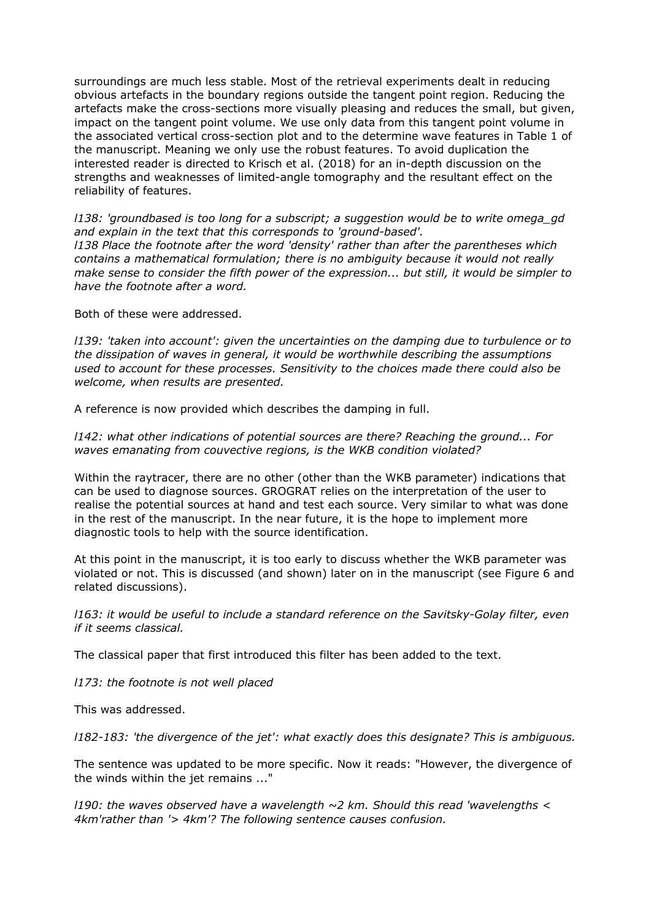surroundings are much less stable. Most of the retrieval experiments dealt in reducing obvious artefacts in the boundary regions outside the tangent point region. Reducing the artefacts make the cross-sections more visually pleasing and reduces the small, but given, impact on the tangent point volume. We use only data from this tangent point volume in the associated vertical cross-section plot and to the determine wave features in Table 1 of the manuscript. Meaning we only use the robust features. To avoid duplication the interested reader is directed to Krisch et al. (2018) for an in-depth discussion on the strengths and weaknesses of limited-angle tomography and the resultant effect on the reliability of features.

*l138: 'groundbased is too long for a subscript; a suggestion would be to write omega\_gd and explain in the text that this corresponds to 'ground-based'. l138 Place the footnote after the word 'density' rather than after the parentheses which contains a mathematical formulation; there is no ambiguity because it would not really make sense to consider the fifth power of the expression... but still, it would be simpler to have the footnote after a word.*

Both of these were addressed.

*l139: 'taken into account': given the uncertainties on the damping due to turbulence or to the dissipation of waves in general, it would be worthwhile describing the assumptions used to account for these processes. Sensitivity to the choices made there could also be welcome, when results are presented.*

A reference is now provided which describes the damping in full.

*l142: what other indications of potential sources are there? Reaching the ground... For waves emanating from couvective regions, is the WKB condition violated?*

Within the raytracer, there are no other (other than the WKB parameter) indications that can be used to diagnose sources. GROGRAT relies on the interpretation of the user to realise the potential sources at hand and test each source. Very similar to what was done in the rest of the manuscript. In the near future, it is the hope to implement more diagnostic tools to help with the source identification.

At this point in the manuscript, it is too early to discuss whether the WKB parameter was violated or not. This is discussed (and shown) later on in the manuscript (see Figure 6 and related discussions).

*l163: it would be useful to include a standard reference on the Savitsky-Golay filter, even if it seems classical.*

The classical paper that first introduced this filter has been added to the text.

*l173: the footnote is not well placed*

This was addressed.

*l182-183: 'the divergence of the jet': what exactly does this designate? This is ambiguous.*

The sentence was updated to be more specific. Now it reads: "However, the divergence of the winds within the jet remains ..."

*l190: the waves observed have a wavelength ~2 km. Should this read 'wavelengths < 4km'rather than '> 4km'? The following sentence causes confusion.*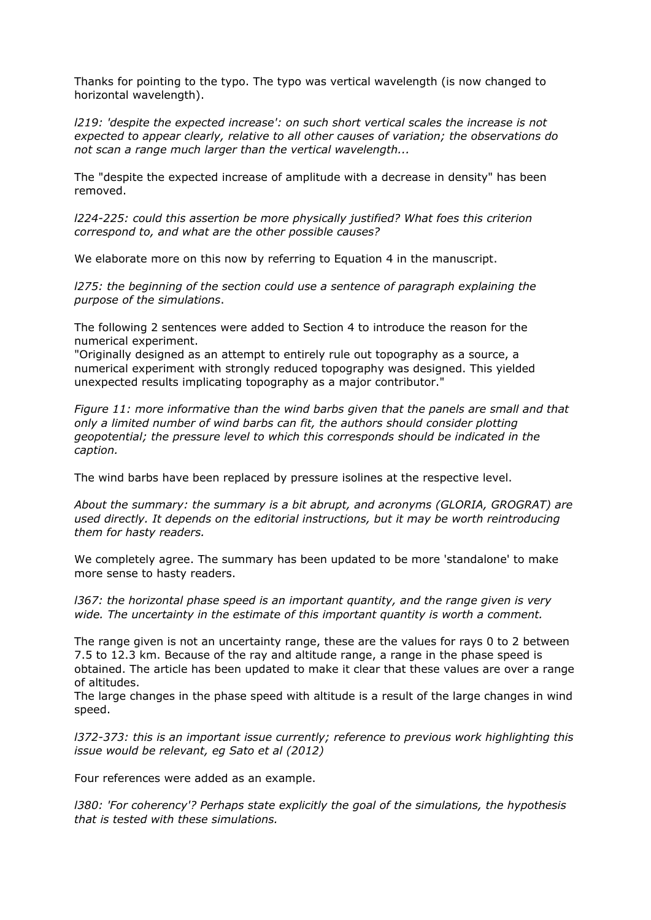Thanks for pointing to the typo. The typo was vertical wavelength (is now changed to horizontal wavelength).

*l219: 'despite the expected increase': on such short vertical scales the increase is not expected to appear clearly, relative to all other causes of variation; the observations do not scan a range much larger than the vertical wavelength...*

The "despite the expected increase of amplitude with a decrease in density" has been removed.

*l224-225: could this assertion be more physically justified? What foes this criterion correspond to, and what are the other possible causes?*

We elaborate more on this now by referring to Equation 4 in the manuscript.

*l275: the beginning of the section could use a sentence of paragraph explaining the purpose of the simulations*.

The following 2 sentences were added to Section 4 to introduce the reason for the numerical experiment.

"Originally designed as an attempt to entirely rule out topography as a source, a numerical experiment with strongly reduced topography was designed. This yielded unexpected results implicating topography as a major contributor."

*Figure 11: more informative than the wind barbs given that the panels are small and that only a limited number of wind barbs can fit, the authors should consider plotting geopotential; the pressure level to which this corresponds should be indicated in the caption.*

The wind barbs have been replaced by pressure isolines at the respective level.

*About the summary: the summary is a bit abrupt, and acronyms (GLORIA, GROGRAT) are used directly. It depends on the editorial instructions, but it may be worth reintroducing them for hasty readers.*

We completely agree. The summary has been updated to be more 'standalone' to make more sense to hasty readers.

*l367: the horizontal phase speed is an important quantity, and the range given is very wide. The uncertainty in the estimate of this important quantity is worth a comment.*

The range given is not an uncertainty range, these are the values for rays 0 to 2 between 7.5 to 12.3 km. Because of the ray and altitude range, a range in the phase speed is obtained. The article has been updated to make it clear that these values are over a range of altitudes.

The large changes in the phase speed with altitude is a result of the large changes in wind speed.

*l372-373: this is an important issue currently; reference to previous work highlighting this issue would be relevant, eg Sato et al (2012)*

Four references were added as an example.

*l380: 'For coherency'? Perhaps state explicitly the goal of the simulations, the hypothesis that is tested with these simulations.*